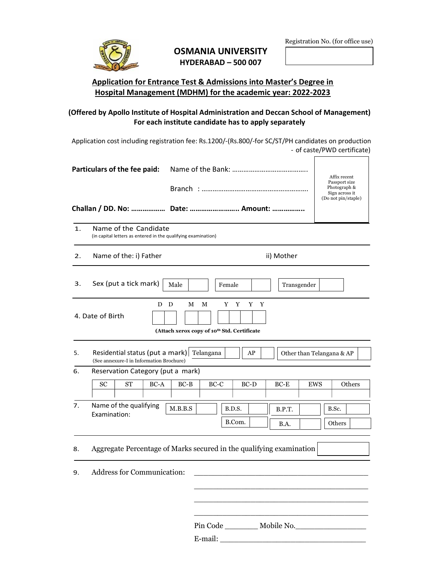

## OSMANIA UNIVERSITY HYDERABAD – 500 007

 $\Gamma$ 

٦

## Application for Entrance Test & Admissions into Master's Degree in Hospital Management (MDHM) for the academic year: 2022-2023

## (Offered by Apollo Institute of Hospital Administration and Deccan School of Management) For each institute candidate has to apply separately

 Application cost including registration fee: Rs.1200/-(Rs.800/-for SC/ST/PH candidates on production - of caste/PWD certificate)

| $\mathbf{1}$ . | Name of the Candidate<br>(in capital letters as entered in the qualifying examination)                                   |                                                  |          |        |             |            |        |  |
|----------------|--------------------------------------------------------------------------------------------------------------------------|--------------------------------------------------|----------|--------|-------------|------------|--------|--|
| 2.             | Name of the: i) Father<br>ii) Mother                                                                                     |                                                  |          |        |             |            |        |  |
| 3.             | Sex (put a tick mark)                                                                                                    | Male                                             | Female   |        | Transgender |            |        |  |
|                | D D<br>4. Date of Birth                                                                                                  | М<br>(Attach xerox copy of 10th Std. Certificate | М<br>Y Y | Y Y    |             |            |        |  |
| 5.             | Residential status (put a mark) Telangana<br>AP<br>Other than Telangana & AP<br>(See annexure-I in Information Brochure) |                                                  |          |        |             |            |        |  |
| 6.             | Reservation Category (put a mark)                                                                                        |                                                  |          |        |             |            |        |  |
|                | <b>SC</b><br><b>ST</b><br>BC-A                                                                                           | $BC-B$                                           | $BC-C$   | $BC-D$ | $BC-E$      | <b>EWS</b> | Others |  |
|                |                                                                                                                          |                                                  | B.D.S.   |        | B.P.T.      |            | B.Sc.  |  |
| 7.             | Name of the qualifying<br>Examination:                                                                                   | M.B.B.S                                          | B.Com.   |        | B.A.        |            | Others |  |